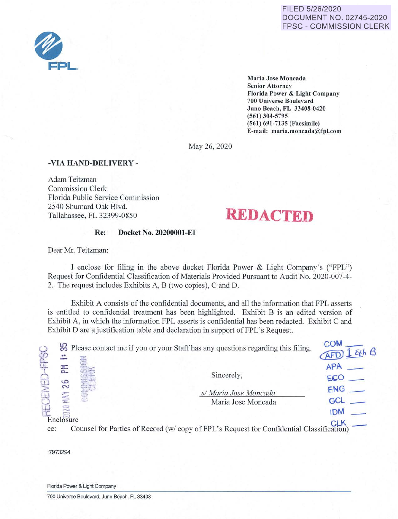#### FILED 5/26/2020 DOCUMENT NO. 02745-2020 FPSC - COMMISSION CLERK



**Maria Jose Moncada Senior Attorney Florida Power** & **Light Company 700 Universe Boulevard Juno Beach, FL 33408-0420 (561) 304-5795 (561) 691-7135 (Facsimile) E-mail: maria.moncada@fpl.com** 

May 26, 2020

#### **-VIA HAND-DELIVERY** -

Adam Teitzman Commission Clerk Florida Public Service Commission 2540 Shumard Oak Blvd. Tallahassee, FL 32399-0850

### **REDACTED**

#### **Re: Docket No. 20200001-EI**

Dear Mr. Teitzman:

I enclose for filing in the above docket Florida Power & Light Company's ("FPL") Request for Confidential Classification of Materials Provided Pursuant to Audit No. 2020-007-4- 2. The request includes Exhibits A, B (two copies), C and D.

Exhibit A consists of the confidential documents, and all the information that FPL asserts is entitled to confidential treatment has been highlighted. Exhibit B is an edited version of Exhibit A, in which the information FPL asserts is confidential has been redacted. Exhibit C and Exhibit D are a justification table and declaration in support of FPL's Request.

| $\ddot{\phantom{1}}$ |  | <sup>12</sup> Please contact me if you or your Staff has any questions regarding this filing. | <b>COM</b><br>$AFD1$ &th $B$ |
|----------------------|--|-----------------------------------------------------------------------------------------------|------------------------------|
| 준<br>م               |  | Sincerely,                                                                                    | APA<br>ECO                   |
|                      |  | s/ Maria Jose Moncada                                                                         | ENG<br>GCL                   |
|                      |  | Maria Jose Moncada                                                                            | <b>IDM</b>                   |
| Enclosure<br>$cc$ :  |  | Counsel for Parties of Record (w/ copy of FPL's Request for Confidential Classification)      |                              |

:7973294

Florida Power & Light Company

700 Universe Boulevard, Juno Beach, FL 33408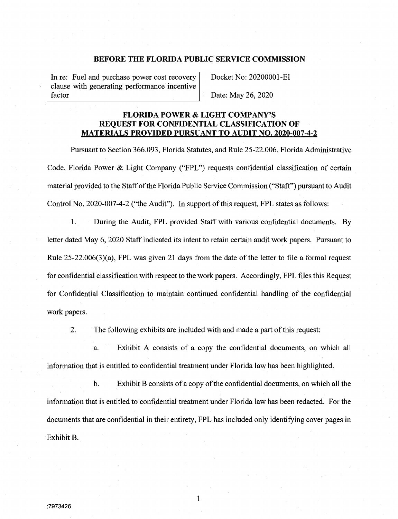#### **BEFORE THE FLORIDA PUBLIC SERVICE COMMISSION**

In re: Fuel and purchase power cost recovery clause with generating performance incentive factor

Docket No: 20200001-EI

Date: May 26, 2020

#### **FLORIDA POWER & LIGHT COMPANY'S REQUEST FOR CONFIDENTIAL CLASSIFICATION OF MATERIALS PROVIDED PURSUANT TO AUDIT NO. 2020-007-4-2**

Pursuant to Section 366.093, Florida Statutes, and Rule 25-22.006, Florida Administrative Code, Florida Power & Light Company ("FPL") requests confidential classification of certain material provided to the Staff of the Florida Public Service Commission ("Staff') pursuant to Audit Control No. 2020-007-4-2 ("the Audit"). In support of this request, FPL states as follows:

1. During the Audit, FPL provided Staff with various confidential documents. By letter dated May 6, 2020 Staff indicated its intent to retain certain audit work papers. Pursuant to Rule 25-22.006(3)(a), FPL was given 21 days from the date of the letter to file a formal request for confidential classification with respect to the work papers. Accordingly, FPL files this Request for Confidential Classification to maintain continued confidential handling of the confidential work papers.

2. The following exhibits are included with and made a part of this request:

a. Exhibit A consists of a copy the confidential documents, on which all information that is entitled to confidential treatment under Florida law has been highlighted.

b. Exhibit B consists of a copy of the confidential documents, on which all the information that is entitled to confidential treatment under Florida law has been redacted. For the documents that are confidential in their entirety, FPL has included only identifying cover pages in Exhibit B.

1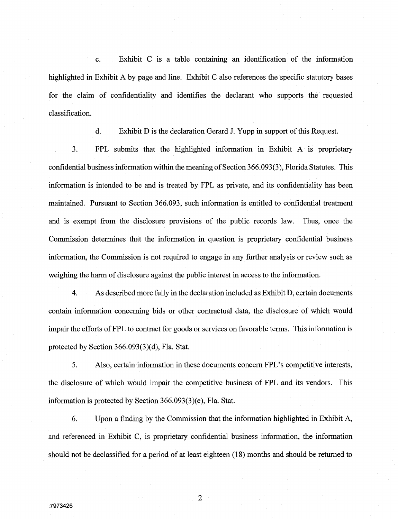c. Exhibit C is a table containing an identification of the information highlighted in Exhibit A by page and line. Exhibit C also references the specific statutory bases for the claim of confidentiality and identifies the declarant who supports the requested classification.

d. Exhibit Dis the declaration Gerard J. Yupp in support of this Request.

3. FPL submits that the highlighted information in Exhibit A is proprietary confidential business information within the meaning of Section 366.093(3), Florida Statutes. This information is intended to be and is treated by FPL as private, and its confidentiality has been maintained. Pursuant to Section 366.093, such information is entitled to confidential treatment and is exempt from the disclosure provisions of the public records law. Thus, once the Commission determines that the information in question is proprietary confidential business information, the Commission is not required to engage in any further analysis or review such as weighing the harm of disclosure against the public interest in access to the information.

4. As described more fully in the declaration included as Exhibit D, certain documents contain information concerning bids or other contractual data, the disclosure of which would impair the efforts of FPL to contract for goods or services on favorable terms. This information is protected by Section  $366.093(3)(d)$ , Fla. Stat.

5. Also, certain information in these documents concern FPL's competitive interests, the disclosure of which would impair the competitive business of FPL and its vendors. This information is protected by Section 366.093(3)(e), Fla. Stat.

6. Upon a finding by the Commission that the information highlighted in Exhibit A, and referenced in Exhibit C, is proprietary confidential business information, the information should not be declassified for a period of at least eighteen ( 18) months and should be returned to

2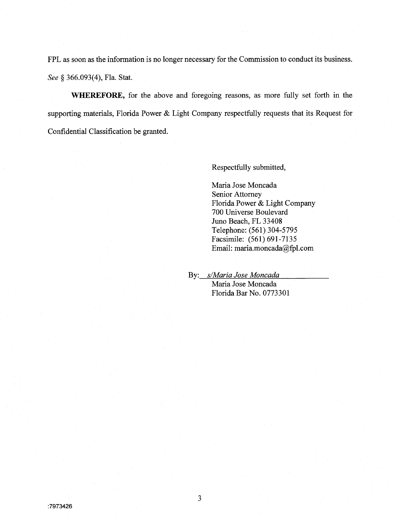FPL as soon as the information is no longer necessary for the Commission to conduct its business. See § 366.093(4), Fla. Stat.

**WHEREFORE,** for the above and foregoing reasons, as more fully set forth in the supporting materials, Florida Power & Light Company respectfully requests that its Request for Confidential Classification be granted.

Respectfully submitted,

Maria Jose Moncada Senior Attorney Florida Power & Light Company 700 Universe Boulevard Juno Beach, FL 33408 Telephone: (561) 304-5795 Facsimile: (561) 691-7135 Email: maria.moncada@fpl.com

By: *s/Maria Jose Moncada*  Maria Jose Moncada Florida Bar No. 0773301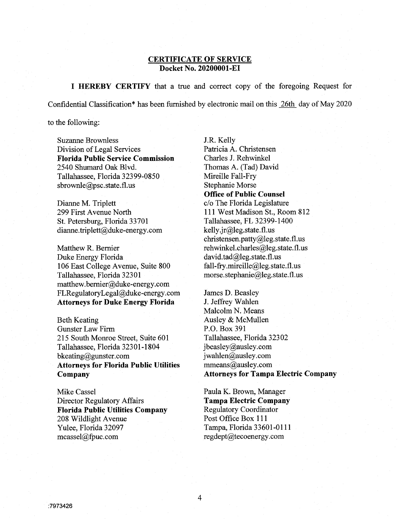#### **CERTIFICATE OF SERVICE Docket No. 20200001-EI**

**I HEREBY CERTIFY** that a true and correct copy of the foregoing Request for Confidential Classification\* has been furnished by electronic mail on this 26th day of May 2020

to the following:

Suzanne Brownless Division of Legal Services **Florida Public Service Commission**  2540 Shumard Oak Blvd. Tallahassee, Florida 32399-0850 sbrownle@psc.state.fl.us

Dianne M. Triplett 299 First Avenue North St. Petersburg, Florida 33701 dianne. triplett@duke-energy.com

Matthew R. Bernier Duke Energy Florida 106 East College A venue, Suite 800 Tallahassee, Florida 32301 matthew. bemier@duke-energy.com FLRegulatoryLegal@duke-energy.com **Attorneys for Duke Energy Florida** 

Beth Keating Gunster Law Firm 215 South Monroe Street, Suite 601 Tallahassee, Florida 32301-1804 bkeating@gunster.com **Attorneys for Florida Public Utilities Company** 

Mike Cassel Director Regulatory Affairs **Florida Public Utilities Company**  208 Wildlight Avenue Yulee, Florida 32097 mcassel@fpuc.com

J.R. Kelly Patricia A. Christensen Charles J. Rehwinkel Thomas A. (Tad) David Mireille Fall-Fry Stephanie Morse **Office of Public Counsel**  c/o The Florida Legislature **111** West Madison St., Room 812 Tallahassee, FL 32399-1400 kelly .jr@leg.state.fl.us christensen.patty@leg.state.fl.us rehwinkel.charles@leg.state.fl.us david.tad@leg.state.fl.us fall-fry.mireille@leg.state.fl.us morse.stephanie@leg.state.fl.us

James D. Beasley J. Jeffrey Wahlen Malcolm N. Means Ausley & McMullen P.O. Box 391 Tallahassee, Florida 32302 jbeasley@ausley.com jwahlen@ausley.com mmeans@ausley.com **Attorneys for Tampa Electric Company** 

Paula K. Brown, Manager **Tampa Electric Company**  Regulatory Coordinator Post Office Box **111**  Tampa, Florida 33601-0111 regdept@tecoenergy.com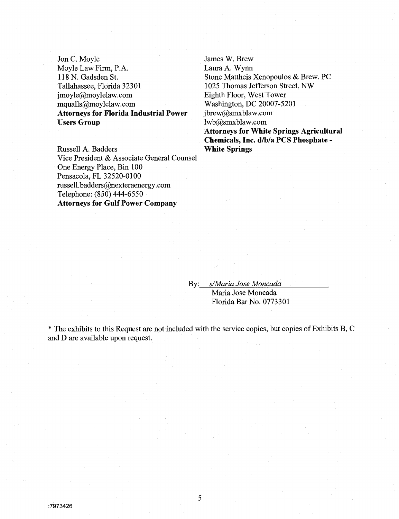Jon C. Moyle Moyle Law Firm, P.A. 118 N. Gadsden St. Tallahassee, Florida 32301 jmoyle@moylelaw.com mqualls@moylelaw.com **Attorneys for Florida Industrial Power Users Group** 

Russell A. Badders Vice President & Associate General Counsel One Energy Place, Bin 100 Pensacola, FL 32520-0100 russell. badders@nexteraenergy.com Telephone: (850) 444-6550 **Attorneys for Gulf Power Company** 

James W. Brew Laura A. Wynn Stone Mattheis Xenopoulos & Brew, PC 1025 Thomas Jefferson Street, NW Eighth Floor, West Tower Washington, DC 20007-5201 jbrew@smxblaw.com lwb@smxblaw.com **Attorneys for White Springs Agricultural Chemicals, Inc. d/b/a PCS Phosphate** - **White Springs** 

By: *s/Maria Jose Moncada* 

Maria Jose Moncada Florida Bar No. 0773301

\* The exhibits to this Request are not included with the service copies, but copies of Exhibits **B,** C and D are available upon request.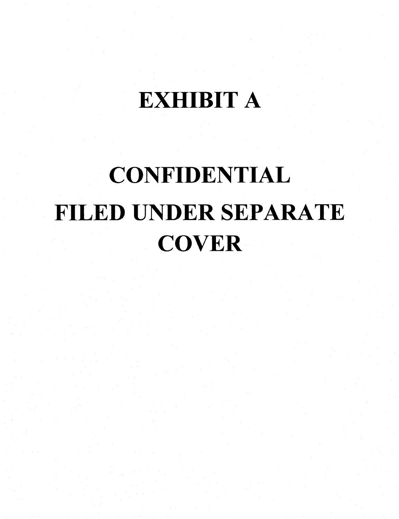### EXHIBIT A

# CONFIDENTIAL FILED UNDER SEPARATE **COVER**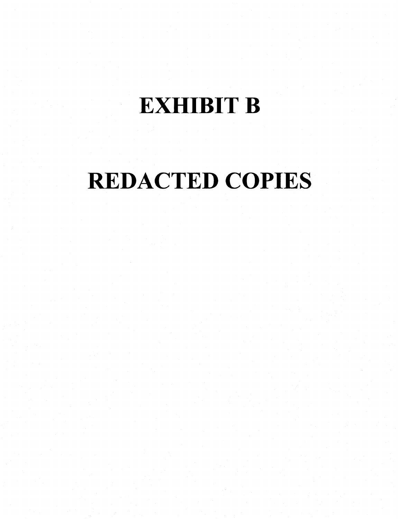### **EXHIBIT B**

## REDACTED COPIES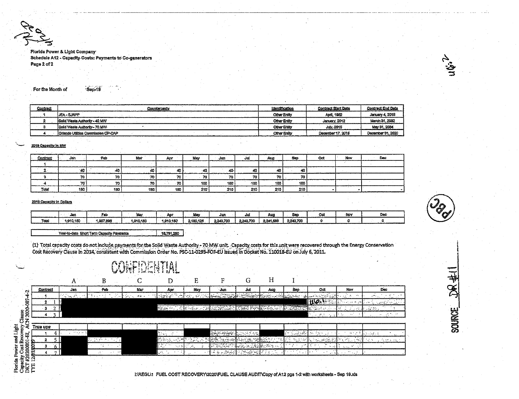Florida Power & Light Company Schedule A12 - Capacity Costs: Payments to Co-generators Page 2 of 2



Sep-19

| Contract | Counterparty                         | Identification      | <b>Contract Start Date</b> | <b>Contract End Date</b> |
|----------|--------------------------------------|---------------------|----------------------------|--------------------------|
|          | <b>JEA-SJRPP</b>                     | Other Entity        | April, 1982                | January 4, 2018          |
|          | <b>Solid Waste Authority - 40 MW</b> | <b>Other Entity</b> | January, 2012              | March 31, 2032           |
|          | Solid Waste Authority - 70 MW        | Other Entity        | <b>July 2015</b>           | May 31, 2034             |
|          | Criando Utilities Commission OP-CAP  | <b>Other Entity</b> | Dacember 17, 2018          | December 31, 2020        |

#### 2019 Capacity In MW

| -------                                         | $-$                    |     |      |          |      |       |      |     |     |        |     |  |
|-------------------------------------------------|------------------------|-----|------|----------|------|-------|------|-----|-----|--------|-----|--|
| Contract<br><b><i>STRATEGIC AND ARRESTS</i></b> | Jan                    | Feb | Mar  | An.      | May  | الثال | Jul  | Aug | Sen | .ad    | Nov |  |
|                                                 |                        |     |      |          |      |       |      |     |     |        |     |  |
|                                                 | .<br>яv                |     | - 42 |          | - 41 | 40    |      | -40 |     |        |     |  |
|                                                 | <br>ιu                 | 70  | 70.  | ÷.<br>70 |      | 70    | 70   | 70  | 70  |        |     |  |
|                                                 | 70<br>________________ | . . | 70   | 70       | 100  | 100   | -100 | 100 | 100 | ------ |     |  |
| Total<br>----------                             | 180                    | 180 | 180. | 180      | 210  | .210  | 210  | 210 | 210 |        |     |  |

#### 2019 Capacity in Dollars

|      | Jan       | E.        | <b><i><u>BA</u></i></b> | Ao       | .         | Jw        | -401      | Auc       | Sa        | Oc | · Nov | De |
|------|-----------|-----------|-------------------------|----------|-----------|-----------|-----------|-----------|-----------|----|-------|----|
| Tota | 1,910,150 | A DOT OUT | .910.150                | 1.910.15 | 2.180.12" | 2.243.700 | 2.243.700 | 2.241.689 | 2.243.700 |    |       | .  |

Year-to-date Short Term Capacity Payments 18,791,260

**ARLIMIAMIRIAL** 

(1) Total capacity costs do not include payments for the Solid Waste Authority - 70 MW unit. Capacity costs for this unit were recovered through the Energy Conservation Cost Recovery Clause in 2014, consistent with Commission Order No. PSC-11-0293-FOF-EU issued in Docket No. 110018-EU on July 6, 2011.

|                      |            |                               |                        | JRFILLERITAL |                 |              |                            |                            |                        |                               |                    |                                           |                                   |
|----------------------|------------|-------------------------------|------------------------|--------------|-----------------|--------------|----------------------------|----------------------------|------------------------|-------------------------------|--------------------|-------------------------------------------|-----------------------------------|
|                      |            |                               |                        |              |                 | E            |                            |                            | Н                      |                               |                    |                                           |                                   |
| ಿ                    | Contract   | Jan                           | Feb                    | Mar          | Apr             | May          | Jun                        | Jul                        | Aug                    | Sep-                          | Oct                | Nov                                       | <b>Dec</b>                        |
|                      |            | $\mathcal{O}(\sqrt{2\log n})$ | 19. L                  | $\sim 10$    | the Part of The |              |                            | $\sim$                     |                        | <b>SERIES AN</b>              |                    |                                           |                                   |
| ႜႜႜၘႛ                |            |                               |                        |              |                 |              |                            |                            |                        |                               | 10.1               |                                           | <u>n artiste iki</u><br>$\ddotsc$ |
| 2020                 |            |                               |                        |              | Second Hall     | 小脑神经病        | r - Salos Malet            | THE PRESS AS PROPERTY (ALL |                        |                               |                    |                                           | uka biyu                          |
| lause                |            |                               |                        |              |                 |              |                            |                            |                        |                               | in c<br>i vit      | $\sim$<br>$\ddotsc$                       | <b>SALE</b><br>$\cdot$            |
| z                    |            |                               |                        |              |                 |              |                            |                            |                        |                               |                    |                                           |                                   |
| 함<br>지<br>지          | True ups   |                               |                        |              |                 |              |                            |                            |                        |                               |                    |                                           |                                   |
| and Light<br>ដុ      |            | <b>Station</b>                |                        |              |                 |              | <u>المسابقين المستوفية</u> | 地方行政                       |                        | Teacher Co.<br>جافيا والجماعة | $\sim$ $\sim$      | $\sim$                                    | <b>Literature</b><br>$\cdots$     |
|                      |            |                               | <b>Second Const</b>    |              |                 |              | a Pazzi                    | alian.                     | Service of the Service | $\mathcal{D}_{\text{max}}$    | <b>SALES</b><br>٠. |                                           | 12 N<br><b>STORY OF</b>           |
| ost Rec<br>owei<br>S | g<br>з     |                               |                        |              | $\mathbf{v}$    | 12<br>$\sim$ | <b>FERNAL</b>              | ler.                       |                        |                               |                    | $\sim$<br>2.141<br>$\mathbf{r}$           |                                   |
| #20200001            | Ë          |                               | $\cdots$<br>УY.<br>. . |              | urk.            |              | ಹ ಸಂಗಮ                     | الموسية أفتروا             |                        |                               |                    | $\sim 10^{11}$ m $^{-1}$<br>$\sim$ $\sim$ |                                   |
| 8                    | 2          | <b>College</b>                |                        |              |                 |              |                            |                            |                        |                               |                    |                                           |                                   |
| quout<br>DKT         | <b>FYE</b> |                               |                        |              |                 |              |                            |                            |                        |                               |                    |                                           |                                   |

INREGLN FUEL COST RECOVERY/2020/FUEL CLAUSE AUDIT/Copy of A12 pgs 1-2 with worksheets - Sep 19.xls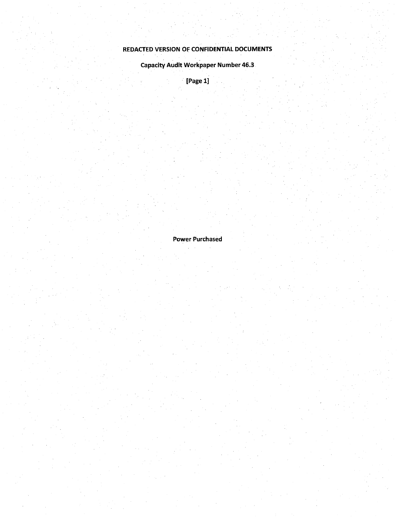#### REDACTED VERSION OF CONFIDENTIAL DOCUMENTS

Capacity Audit Workpaper Number 46.3

[Page 1]

Power Purchased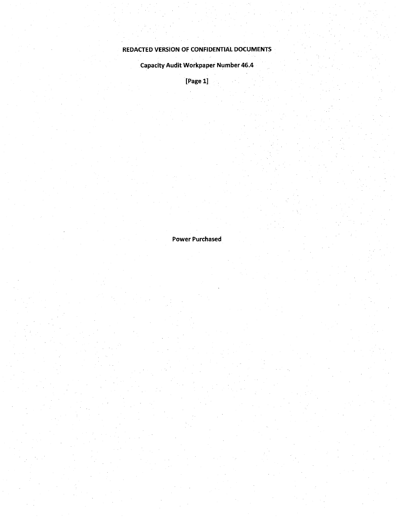### REDACTED **VERSION** OF CONFIDENTIAL DOCUMENTS

Capacity Audit Workpaper Number 46;4

[Page 1]

Power Purchased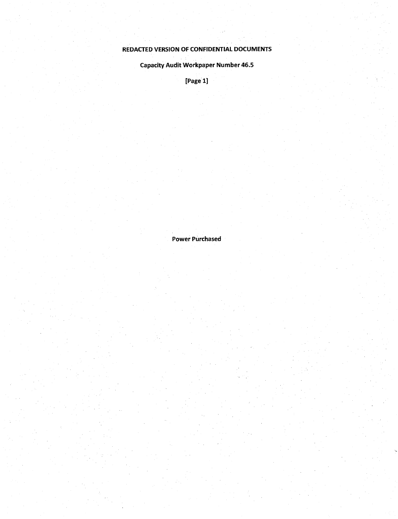### REDACTED VERSION OF CONFIDENTIAL DOCUMENTS

**Capacity Audit Workpaper Number 46.5** 

[Page 1]

Power Purchased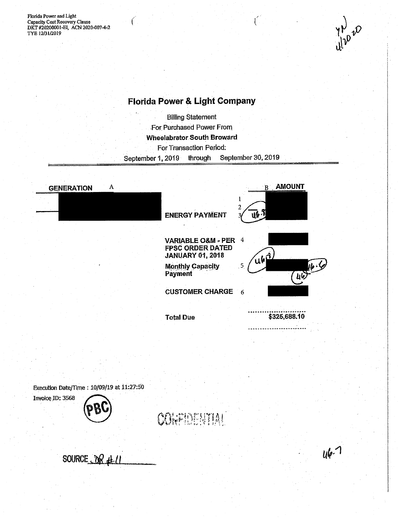ť



### **Florida Power & Light Company**

**Billing Statement** For Purchased Power From **Wheelabrator South Broward** For Transaction Period: September 30, 2019 through September 1, 2019



Execution Date/Time: 10/09/19 at 11:27:50



CONFIDER 191

SOURCE OR #1

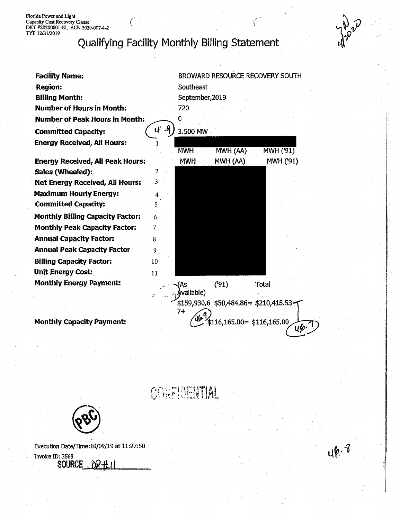Florida Power and Light<br>Capacity Cost Recovery Clause<br>DKT #20200001-EI, ACN 2020-007-4-2<br>TYE 12/31/2019

### Qualifying Facility Monthly Billing Statement

| <b>Facility Name:</b>                   |                     |                 |                                         | BROWARD RESOURCE RECOVERY SOUTH |
|-----------------------------------------|---------------------|-----------------|-----------------------------------------|---------------------------------|
| <b>Region:</b>                          |                     | Southeast       |                                         |                                 |
| <b>Billing Month:</b>                   |                     | September, 2019 |                                         |                                 |
| <b>Number of Hours in Month:</b>        |                     | 720             |                                         |                                 |
| <b>Number of Peak Hours in Month:</b>   |                     | 0               |                                         |                                 |
| <b>Committed Capacity:</b>              | u∥ .4               | 3.500 MW        |                                         |                                 |
| <b>Energy Received, All Hours:</b>      |                     | <b>MWH</b>      | MWH (AA)                                | MWH ('91)                       |
| <b>Energy Received, All Peak Hours:</b> |                     | <b>MWH</b>      | MWH (AA)                                | MWH ('91)                       |
| Sales (Wheeled):                        | $\overline{2}$      |                 |                                         |                                 |
| <b>Net Energy Received, All Hours:</b>  | 3                   |                 |                                         |                                 |
| <b>Maximum Hourly Energy:</b>           | $\overline{\bf{4}}$ |                 |                                         |                                 |
| <b>Committed Capacity:</b>              | 5                   |                 |                                         |                                 |
| <b>Monthly Billing Capacity Factor:</b> | 6                   |                 |                                         |                                 |
| <b>Monthly Peak Capacity Factor:</b>    | 7                   |                 |                                         |                                 |
| <b>Annual Capacity Factor:</b>          | 8                   |                 |                                         |                                 |
| <b>Annual Peak Capacity Factor</b>      | 9                   |                 |                                         |                                 |
| <b>Billing Capacity Factor:</b>         | 10                  |                 |                                         |                                 |
| <b>Unit Energy Cost:</b>                | 11                  |                 |                                         |                                 |
| <b>Monthly Energy Payment:</b>          |                     | 'As             | (91)                                    | Total                           |
|                                         |                     | Available)      |                                         |                                 |
|                                         |                     |                 | $$159,930.6$ $$50,484.86 = $210,415.53$ |                                 |
| <b>Monthly Capacity Payment:</b>        |                     | 7+              | $$116,165.00 = $116,165.00$             | цþ.                             |
|                                         |                     |                 |                                         |                                 |

CORPIDENTIAL



Execution Date/Time:10/09/19 at 11:27:50 Invoice ID: 3568<br>SOURCE  $ORH$ 



**BRA**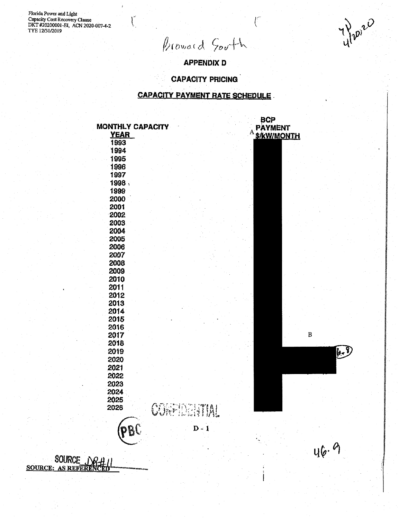Florida Power and Light<br>Capacity Cost Recovery Clause<br>DKT #20200001-EI, ACN 2020-007-4-2<br>TYE 12/31/2019

SOI **SOURCE: AS REFERE**   $\int_{-\infty}^{\infty}$ 

Provoid South

y Pippie

**APPENDIX D** 

**CAPACITY PRICING** 

#### **CAPACITY PAYMENT RATE SCHEDULE**

| <b>MONTHLY CAPACITY</b><br><b>YEAR</b> |                    | A | <b>BCP</b><br><b>PAYMENT</b><br><b>S/KW/MONTH</b> |              |
|----------------------------------------|--------------------|---|---------------------------------------------------|--------------|
| 1993                                   |                    |   |                                                   |              |
| 1994                                   |                    |   |                                                   |              |
| 1995                                   |                    |   |                                                   |              |
| 1996                                   |                    |   |                                                   |              |
| 1997                                   |                    |   |                                                   |              |
| 1998                                   |                    |   |                                                   |              |
| 1999                                   |                    |   |                                                   |              |
| 2000                                   |                    |   |                                                   |              |
| 2001                                   |                    |   |                                                   |              |
| 2002                                   |                    |   |                                                   |              |
| 2003                                   |                    |   |                                                   |              |
| 2004                                   |                    |   |                                                   |              |
| 2005                                   |                    |   |                                                   |              |
| 2006                                   |                    |   |                                                   |              |
| 2007                                   |                    |   |                                                   |              |
| 2008                                   |                    |   |                                                   |              |
| 2009                                   |                    |   |                                                   |              |
| 2010                                   |                    |   |                                                   |              |
| 2011                                   |                    |   |                                                   |              |
| 2012                                   |                    |   |                                                   |              |
| 2013                                   |                    |   |                                                   |              |
| 2014                                   |                    |   |                                                   |              |
| 2015                                   |                    |   |                                                   |              |
| 2016                                   |                    |   |                                                   |              |
| 2017                                   |                    |   |                                                   | $\, {\bf B}$ |
| 2018                                   |                    |   |                                                   |              |
| 2019                                   |                    |   |                                                   | $\sqrt{2}$   |
| 2020                                   |                    |   |                                                   |              |
| 2021                                   |                    |   |                                                   |              |
| 2022                                   |                    |   |                                                   |              |
| 2023                                   |                    |   |                                                   |              |
| 2024                                   |                    |   |                                                   |              |
| 2025                                   |                    |   |                                                   |              |
| 2026                                   | <b>CORPIDATION</b> |   |                                                   |              |
|                                        |                    |   |                                                   |              |
|                                        | $D - 1$            |   |                                                   |              |
| pBC                                    |                    |   |                                                   |              |
|                                        |                    |   |                                                   |              |
|                                        |                    |   |                                                   | 46.6         |
|                                        |                    |   |                                                   |              |
|                                        |                    |   |                                                   |              |
|                                        |                    |   |                                                   |              |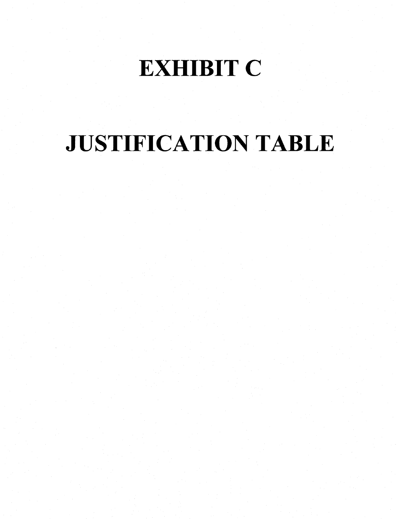## **EXHIBIT C**

## JUSTIFICATION TABLE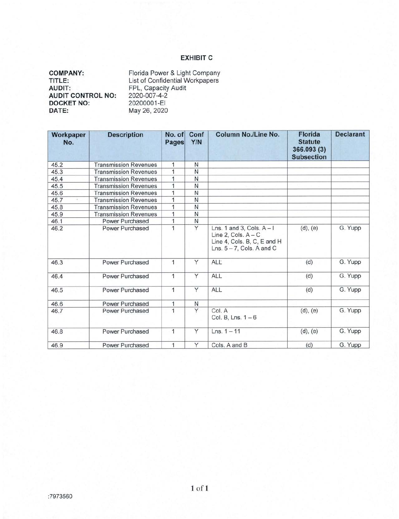#### **EXHIBIT C**

| <b>COMPANY:</b>          | Florida Power & Light Company   |
|--------------------------|---------------------------------|
| TITLE:                   | List of Confidential Workpapers |
| <b>AUDIT:</b>            | FPL, Capacity Audit             |
| <b>AUDIT CONTROL NO:</b> | 2020-007-4-2                    |
| <b>DOCKET NO:</b>        | 20200001-EI                     |
| DATE:                    | May 26, 2020                    |

| Workpaper<br>No. | <b>Description</b>           | No. of<br>Pages | Conf<br>Y/N | Column No./Line No.                                                                                                 | <b>Florida</b><br><b>Statute</b><br>366.093 (3)<br><b>Subsection</b> | <b>Declarant</b> |
|------------------|------------------------------|-----------------|-------------|---------------------------------------------------------------------------------------------------------------------|----------------------------------------------------------------------|------------------|
| 45.2             | <b>Transmission Revenues</b> | 1               | N           |                                                                                                                     |                                                                      |                  |
| 45.3             | <b>Transmission Revenues</b> | $\mathbf{1}$    | Ν           |                                                                                                                     |                                                                      |                  |
| 45.4             | <b>Transmission Revenues</b> | 1               | N           |                                                                                                                     |                                                                      |                  |
| 45.5             | <b>Transmission Revenues</b> | 1               | N           |                                                                                                                     |                                                                      |                  |
| 45.6             | <b>Transmission Revenues</b> | 1               | N           |                                                                                                                     |                                                                      |                  |
| 45.7             | <b>Transmission Revenues</b> | 1               | Ν           |                                                                                                                     |                                                                      |                  |
| 45.8             | <b>Transmission Revenues</b> | 1               | Ν           |                                                                                                                     |                                                                      |                  |
| 45.9             | <b>Transmission Revenues</b> | 1               | N           |                                                                                                                     |                                                                      |                  |
| 46.1             | Power Purchased              | 1               | N           |                                                                                                                     |                                                                      |                  |
| 46.2             | Power Purchased              | 1               | Y           | Lns. 1 and 3, Cols. $A - I$<br>Line 2, Cols. $A - C$<br>Line 4, Cols. B, C, E and H<br>Lns. $5 - 7$ , Cols. A and C | (d), (e)                                                             | G. Yupp          |
| 46.3             | Power Purchased              | 1               | Y           | ALL                                                                                                                 | (d)                                                                  | G. Yupp          |
| 46.4             | Power Purchased              | 1               | Y           | <b>ALL</b>                                                                                                          | (d)                                                                  | G. Yupp          |
| 46.5             | Power Purchased              | $\mathbf{1}$    | Y           | ALL                                                                                                                 | (d)                                                                  | G. Yupp          |
| 46.6             | Power Purchased              | 1               | N           |                                                                                                                     |                                                                      |                  |
| 46.7             | Power Purchased              | 1               | Y           | Col. A<br>Col. B, Lns. $1-6$                                                                                        | (d), (e)                                                             | G. Yupp          |
| 46.8             | Power Purchased              | 1               | Ÿ           | $Lns. 1 - 11$                                                                                                       | $(d)$ , $(e)$                                                        | G. Yupp          |
| 46.9             | Power Purchased              | 1               | Y           | Cols, A and B                                                                                                       | (d)                                                                  | G. Yupp          |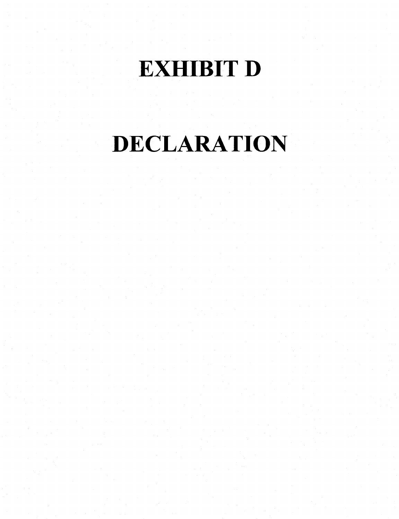### **EXHIBIT D**

# DECLARATION